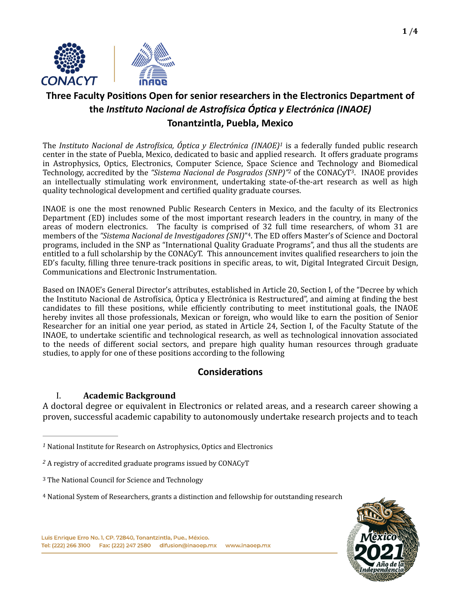

# **Three Faculty Positions Open for senior researchers in the Electronics Department of the** *Instituto Nacional de Astrofísica Óptica y Electrónica (INAOE)* **Tonantzintla, Puebla, Mexico**

<span id="page-0-4"></span>The *Instituto Nacional de Astrofísica, Óptica y Electrónica (INAOE)<sup>[1](#page-0-0)</sup> is a federally funded public research* center in the state of Puebla, Mexico, dedicated to basic and applied research. It offers graduate programs in Astrophysics, Optics, Electronics, Computer Science, Space Science and Technology and Biomedical Technology, accredited by the "Sistema Nacional de Posgrados (SNP)"<sup>[2](#page-0-1)</sup> of the CONACyT<sup>[3](#page-0-2)</sup>. INAOE provides an intellectually stimulating work environment, undertaking state-of-the-art research as well as high quality technological development and certified quality graduate courses.

INAOE is one the most renowned Public Research Centers in Mexico, and the faculty of its Electronics Department (ED) includes some of the most important research leaders in the country, in many of the areas of modern electronics. The faculty is comprised of 32 full time researchers, of whom 31 are members of the *"Sistema Nacional de Investigadores (SNI)*"<sup>[4](#page-0-3)</sup>. The ED offers Master's of Science and Doctoral programs, included in the SNP as "International Quality Graduate Programs", and thus all the students are entitled to a full scholarship by the CONACyT. This announcement invites qualified researchers to join the ED's faculty, filling three tenure-track positions in specific areas, to wit, Digital Integrated Circuit Design, Communications and Electronic Instrumentation.

Based on INAOE's General Director's attributes, established in Article 20, Section I, of the "Decree by which the Instituto Nacional de Astrofísica, Óptica y Electrónica is Restructured", and aiming at finding the best candidates to fill these positions, while efficiently contributing to meet institutional goals, the INAOE hereby invites all those professionals, Mexican or foreign, who would like to earn the position of Senior Researcher for an initial one year period, as stated in Article 24, Section I, of the Faculty Statute of the INAOE, to undertake scientific and technological research, as well as technological innovation associated to the needs of different social sectors, and prepare high quality human resources through graduate studies, to apply for one of these positions according to the following

## <span id="page-0-7"></span><span id="page-0-6"></span><span id="page-0-5"></span>**Considerations**

### I. **Academic Background**

A doctoral degree or equivalent in Electronics or related areas, and a research career showing a proven, successful academic capability to autonomously undertake research projects and to teach

<span id="page-0-3"></span><sup>&</sup>lt;sup>4</sup> National System of Researchers, grants a distinction and fellowship for outstanding research



<span id="page-0-0"></span><sup>&</sup>lt;sup>[1](#page-0-4)</sup> National Institute for Research on Astrophysics, Optics and Electronics

<span id="page-0-1"></span><sup>&</sup>lt;sup>[2](#page-0-5)</sup> A registry of accredited graduate programs issued by CONACyT

<span id="page-0-2"></span><sup>&</sup>lt;sup>3</sup> The National Council for Science and Technology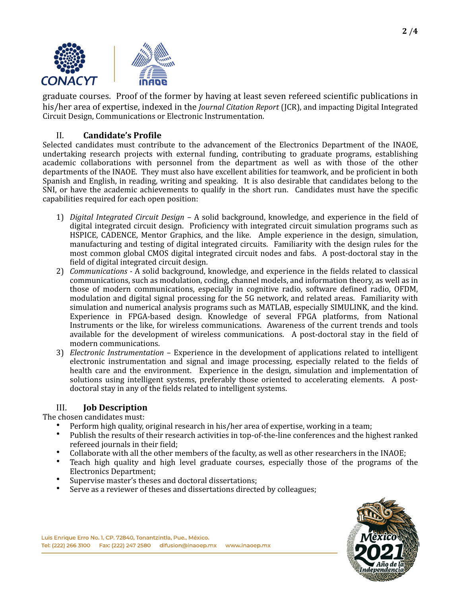

graduate courses. Proof of the former by having at least seven refereed scientific publications in his/her area of expertise, indexed in the *Journal Citation Report* (JCR), and impacting Digital Integrated Circuit Design, Communications or Electronic Instrumentation.

### II. **Candidate's Profile**

Selected candidates must contribute to the advancement of the Electronics Department of the INAOE, undertaking research projects with external funding, contributing to graduate programs, establishing academic collaborations with personnel from the department as well as with those of the other departments of the INAOE. They must also have excellent abilities for teamwork, and be proficient in both Spanish and English, in reading, writing and speaking. It is also desirable that candidates belong to the SNI, or have the academic achievements to qualify in the short run. Candidates must have the specific capabilities required for each open position:

- 1) *Digital Integrated Circuit Design* A solid background, knowledge, and experience in the field of digital integrated circuit design. Proficiency with integrated circuit simulation programs such as HSPICE, CADENCE, Mentor Graphics, and the like. Ample experience in the design, simulation, manufacturing and testing of digital integrated circuits. Familiarity with the design rules for the most common global CMOS digital integrated circuit nodes and fabs. A post-doctoral stay in the field of digital integrated circuit design.
- 2) *Communications* A solid background, knowledge, and experience in the fields related to classical communications, such as modulation, coding, channel models, and information theory, as well as in those of modern communications, especially in cognitive radio, software defined radio, OFDM, modulation and digital signal processing for the 5G network, and related areas. Familiarity with simulation and numerical analysis programs such as MATLAB, especially SIMULINK, and the kind. Experience in FPGA-based design. Knowledge of several FPGA platforms, from National Instruments or the like, for wireless communications. Awareness of the current trends and tools available for the development of wireless communications. A post-doctoral stay in the field of modern communications.
- 3) *Electronic Instrumentation* Experience in the development of applications related to intelligent electronic instrumentation and signal and image processing, especially related to the fields of health care and the environment. Experience in the design, simulation and implementation of solutions using intelligent systems, preferably those oriented to accelerating elements. A postdoctoral stay in any of the fields related to intelligent systems.

### III. **Job Description**

The chosen candidates must:

- Perform high quality, original research in his/her area of expertise, working in a team;
- Publish the results of their research activities in top-of-the-line conferences and the highest ranked refereed iournals in their field:
- Collaborate with all the other members of the faculty, as well as other researchers in the INAOE;
- Teach high quality and high level graduate courses, especially those of the programs of the Electronics Department;
- Supervise master's theses and doctoral dissertations;
- Serve as a reviewer of theses and dissertations directed by colleagues;

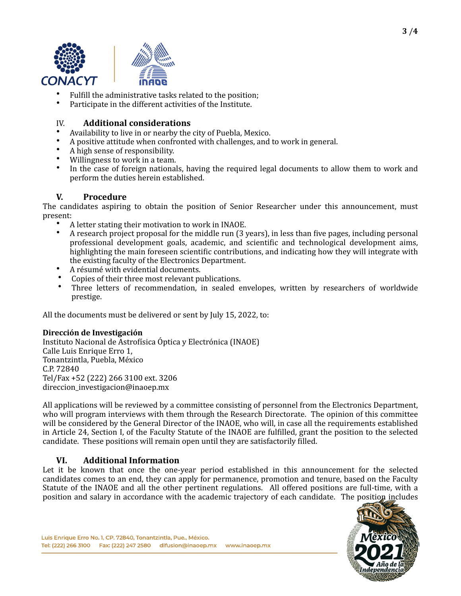



- Fulfill the administrative tasks related to the position;
- Participate in the different activities of the Institute.

#### IV. **Additional considerations**

- Availability to live in or nearby the city of Puebla, Mexico.
- A positive attitude when confronted with challenges, and to work in general.
- A high sense of responsibility.
- Willingness to work in a team.
- In the case of foreign nationals, having the required legal documents to allow them to work and perform the duties herein established.

### **V. Procedure**

The candidates aspiring to obtain the position of Senior Researcher under this announcement, must present:

- A letter stating their motivation to work in INAOE.
- A research project proposal for the middle run (3 years), in less than five pages, including personal professional development goals, academic, and scientific and technological development aims, highlighting the main foreseen scientific contributions, and indicating how they will integrate with the existing faculty of the Electronics Department.
- A résumé with evidential documents.
- Copies of their three most relevant publications.<br>• Three letters of recommendation in sealed e
- Three letters of recommendation, in sealed envelopes, written by researchers of worldwide prestige.

All the documents must be delivered or sent by July 15, 2022, to:

#### **Dirección de Investigación**

Instituto Nacional de Astrofísica Óptica y Electrónica (INAOE) Calle Luis Enrique Erro 1, Tonantzintla, Puebla, México C.P. 72840 Tel/Fax +52 (222) 266 3100 ext. 3206 direccion\_investigacion@inaoep.mx

All applications will be reviewed by a committee consisting of personnel from the Electronics Department, who will program interviews with them through the Research Directorate. The opinion of this committee will be considered by the General Director of the INAOE, who will, in case all the requirements established in Article 24, Section I, of the Faculty Statute of the INAOE are fulfilled, grant the position to the selected candidate. These positions will remain open until they are satisfactorily filled.

#### **VI. Additional Information**

Let it be known that once the one-year period established in this announcement for the selected candidates comes to an end, they can apply for permanence, promotion and tenure, based on the Faculty Statute of the INAOE and all the other pertinent regulations. All offered positions are full-time, with a position and salary in accordance with the academic trajectory of each candidate. The position includes